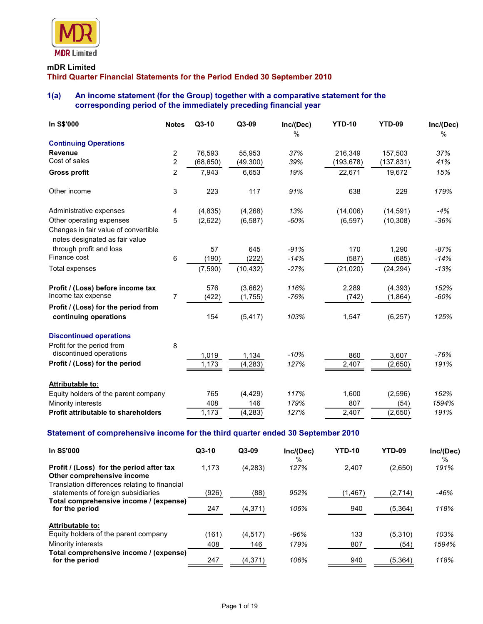

# **mDR Limited**

**Third Quarter Financial Statements for the Period Ended 30 September 2010** 

# **1(a) An income statement (for the Group) together with a comparative statement for the corresponding period of the immediately preceding financial year**

| In S\$'000                                                             | <b>Notes</b>   | $Q3-10$   | Q3-09     | Inc/(Dec)<br>% | <b>YTD-10</b>  | <b>YTD-09</b> | Inc/(Dec)<br>% |
|------------------------------------------------------------------------|----------------|-----------|-----------|----------------|----------------|---------------|----------------|
| <b>Continuing Operations</b>                                           |                |           |           |                |                |               |                |
| <b>Revenue</b>                                                         | 2              | 76.593    | 55,953    | 37%            | 216.349        | 157,503       | 37%            |
| Cost of sales                                                          | $\overline{c}$ | (68, 650) | (49,300)  | 39%            | (193, 678)     | (137, 831)    | 41%            |
| <b>Gross profit</b>                                                    | 2              | 7,943     | 6,653     | 19%            | 22,671         | 19,672        | 15%            |
| Other income                                                           | 3              | 223       | 117       | 91%            | 638            | 229           | 179%           |
| Administrative expenses                                                | 4              | (4,835)   | (4,268)   | 13%            | (14,006)       | (14, 591)     | -4%            |
| Other operating expenses                                               | 5              | (2,622)   | (6, 587)  | $-60%$         | (6, 597)       | (10, 308)     | $-36%$         |
| Changes in fair value of convertible<br>notes designated as fair value |                |           |           |                |                |               |                |
| through profit and loss                                                |                | 57        | 645       | $-91%$         | 170            | 1.290         | $-87%$         |
| Finance cost                                                           | 6              | (190)     | (222)     | $-14%$         | (587)          | (685)         | $-14%$         |
| Total expenses                                                         |                | (7, 590)  | (10, 432) | $-27%$         | (21, 020)      | (24, 294)     | $-13%$         |
| Profit / (Loss) before income tax                                      |                | 576       | (3,662)   | 116%           | 2,289          | (4, 393)      | 152%           |
| Income tax expense                                                     | 7              | (422)     | (1,755)   | $-76%$         | (742)          | (1,864)       | $-60%$         |
| Profit / (Loss) for the period from<br>continuing operations           |                | 154       | (5, 417)  | 103%           | 1,547          | (6, 257)      | 125%           |
| <b>Discontinued operations</b>                                         |                |           |           |                |                |               |                |
| Profit for the period from                                             | 8              |           |           |                |                |               |                |
| discontinued operations                                                |                | 1,019     | 1,134     | $-10%$         | 860            | 3,607         | -76%           |
| Profit / (Loss) for the period                                         |                | 1,173     | (4, 283)  | 127%           | 2,407          | (2,650)       | 191%           |
| <b>Attributable to:</b>                                                |                |           |           |                |                |               |                |
| Equity holders of the parent company                                   |                | 765       | (4, 429)  | 117%           | 1,600          | (2, 596)      | 162%           |
| Minority interests                                                     |                | 408       | 146       | 179%           | 807            | (54)          | 1594%          |
| Profit attributable to shareholders                                    |                | 1,173     | (4,283)   | 127%           | $\sqrt{2,407}$ | (2,650)       | 191%           |

## **Statement of comprehensive income for the third quarter ended 30 September 2010**

| <b>In S\$'000</b>                                                                                                       | $Q3-10$ | $Q3-09$  | Inc/(Dec)<br>$\%$ | <b>YTD-10</b> | YTD-09   | Inc/(Dec)<br>$\%$ |
|-------------------------------------------------------------------------------------------------------------------------|---------|----------|-------------------|---------------|----------|-------------------|
| Profit / (Loss) for the period after tax<br>Other comprehensive income<br>Translation differences relating to financial | 1,173   | (4,283)  | 127%              | 2.407         | (2,650)  | 191%              |
| statements of foreign subsidiaries<br>Total comprehensive income / (expense)                                            | (926)   | (88)     | 952%              | (1,467)       | (2,714)  | $-46%$            |
| for the period                                                                                                          | 247     | (4,371)  | 106%              | 940           | (5,364)  | 118%              |
| <b>Attributable to:</b>                                                                                                 |         |          |                   |               |          |                   |
| Equity holders of the parent company                                                                                    | (161)   | (4.517)  | $-96%$            | 133           | (5,310)  | 103%              |
| Minority interests                                                                                                      | 408     | 146      | 179%              | 807           | (54)     | 1594%             |
| Total comprehensive income / (expense)<br>for the period                                                                | 247     | (4, 371) | 106%              | 940           | (5, 364) | 118%              |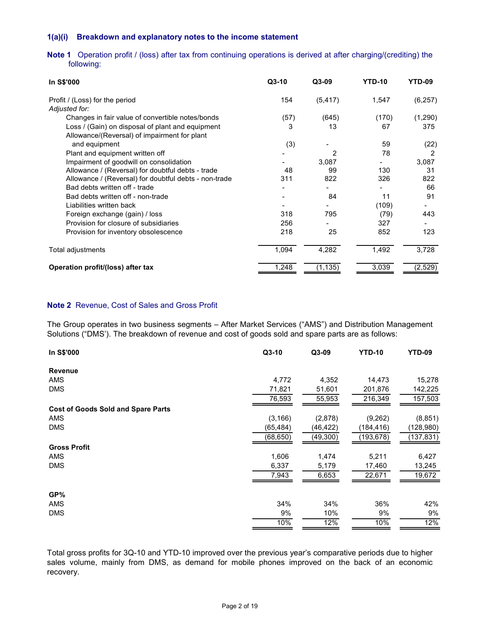## **1(a)(i) Breakdown and explanatory notes to the income statement**

## **Note 1** Operation profit / (loss) after tax from continuing operations is derived at after charging/(crediting) the following:

| In S\$'000                                            | $Q3-10$ | Q3-09    | <b>YTD-10</b> | YTD-09   |
|-------------------------------------------------------|---------|----------|---------------|----------|
| Profit / (Loss) for the period<br>Adjusted for:       | 154     | (5, 417) | 1,547         | (6, 257) |
| Changes in fair value of convertible notes/bonds      | (57)    | (645)    | (170)         | (1, 290) |
| Loss / (Gain) on disposal of plant and equipment      | 3       | 13       | 67            | 375      |
| Allowance/(Reversal) of impairment for plant          |         |          |               |          |
| and equipment                                         | (3)     |          | 59            | (22)     |
| Plant and equipment written off                       |         | 2        | 78            | 2        |
| Impairment of goodwill on consolidation               |         | 3,087    |               | 3,087    |
| Allowance / (Reversal) for doubtful debts - trade     | 48      | 99       | 130           | 31       |
| Allowance / (Reversal) for doubtful debts - non-trade | 311     | 822      | 326           | 822      |
| Bad debts written off - trade                         |         |          |               | 66       |
| Bad debts written off - non-trade                     |         | 84       | 11            | 91       |
| Liabilities written back                              |         |          | (109)         |          |
| Foreign exchange (gain) / loss                        | 318     | 795      | (79)          | 443      |
| Provision for closure of subsidiaries                 | 256     |          | 327           |          |
| Provision for inventory obsolescence                  | 218     | 25       | 852           | 123      |
| Total adjustments                                     | 1,094   | 4,282    | 1,492         | 3,728    |
| Operation profit/(loss) after tax                     | 1,248   | (1, 135) | 3,039         | (2, 529) |

#### **Note 2** Revenue, Cost of Sales and Gross Profit

The Group operates in two business segments – After Market Services ("AMS") and Distribution Management Solutions ("DMS'). The breakdown of revenue and cost of goods sold and spare parts are as follows:

| In S\$'000                                | Q3-10     | Q3-09     | <b>YTD-10</b> | <b>YTD-09</b> |
|-------------------------------------------|-----------|-----------|---------------|---------------|
| <b>Revenue</b>                            |           |           |               |               |
| <b>AMS</b>                                | 4,772     | 4,352     | 14,473        | 15,278        |
| <b>DMS</b>                                | 71,821    | 51,601    | 201,876       | 142,225       |
|                                           | 76,593    | 55,953    | 216,349       | 157,503       |
| <b>Cost of Goods Sold and Spare Parts</b> |           |           |               |               |
| AMS                                       | (3, 166)  | (2,878)   | (9,262)       | (8, 851)      |
| <b>DMS</b>                                | (65,484)  | (46,422)  | (184, 416)    | (128, 980)    |
|                                           | (68, 650) | (49, 300) | (193,678)     | (137, 831)    |
| <b>Gross Profit</b>                       |           |           |               |               |
| <b>AMS</b>                                | 1,606     | 1,474     | 5,211         | 6,427         |
| <b>DMS</b>                                | 6,337     | 5,179     | 17,460        | 13,245        |
|                                           | 7,943     | 6,653     | 22,671        | 19,672        |
| GP%                                       |           |           |               |               |
| <b>AMS</b>                                | 34%       | 34%       | 36%           | 42%           |
| <b>DMS</b>                                | 9%        | 10%       | 9%            | 9%            |
|                                           | 10%       | 12%       | 10%           | 12%           |

Total gross profits for 3Q-10 and YTD-10 improved over the previous year's comparative periods due to higher sales volume, mainly from DMS, as demand for mobile phones improved on the back of an economic recovery.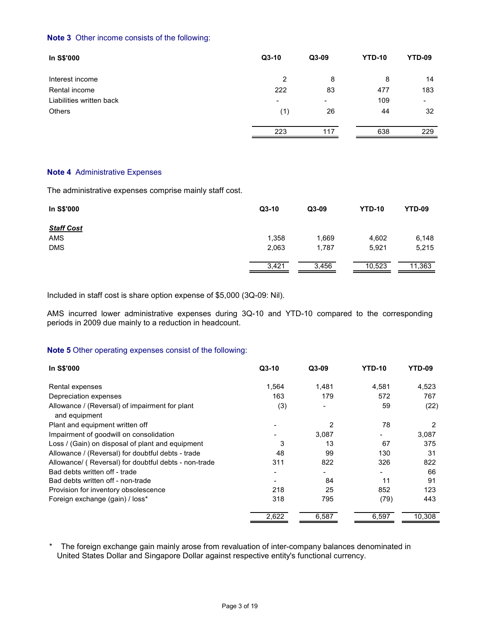### **Note 3** Other income consists of the following:

| In S\$'000               | $Q3-10$                  | $Q3-09$                  | <b>YTD-10</b> | YTD-09                   |
|--------------------------|--------------------------|--------------------------|---------------|--------------------------|
| Interest income          | 2                        | 8                        | 8             | 14                       |
| Rental income            | 222                      | 83                       | 477           | 183                      |
| Liabilities written back | $\overline{\phantom{0}}$ | $\overline{\phantom{0}}$ | 109           | $\overline{\phantom{0}}$ |
| <b>Others</b>            | (1)                      | 26                       | 44            | 32                       |
|                          | 223                      | 117                      | 638           | 229                      |

#### **Note 4** Administrative Expenses

The administrative expenses comprise mainly staff cost.

| In S\$'000        | $Q3-10$ | $Q3-09$ | <b>YTD-10</b> | <b>YTD-09</b> |
|-------------------|---------|---------|---------------|---------------|
| <b>Staff Cost</b> |         |         |               |               |
| <b>AMS</b>        | 1,358   | 1,669   | 4,602         | 6,148         |
| <b>DMS</b>        | 2,063   | 1,787   | 5,921         | 5,215         |
|                   | 3,421   | 3,456   | 10,523        | 11,363        |

Included in staff cost is share option expense of \$5,000 (3Q-09: Nil).

AMS incurred lower administrative expenses during 3Q-10 and YTD-10 compared to the corresponding periods in 2009 due mainly to a reduction in headcount.

## **Note 5** Other operating expenses consist of the following:

| In S\$'000                                                      | $Q3-10$ | $Q3-09$ | <b>YTD-10</b> | YTD-09 |
|-----------------------------------------------------------------|---------|---------|---------------|--------|
| Rental expenses                                                 | 1,564   | 1,481   | 4,581         | 4,523  |
| Depreciation expenses                                           | 163     | 179     | 572           | 767    |
| Allowance / (Reversal) of impairment for plant<br>and equipment | (3)     |         | 59            | (22)   |
| Plant and equipment written off                                 |         | 2       | 78            | 2      |
| Impairment of goodwill on consolidation                         |         | 3,087   |               | 3,087  |
| Loss / (Gain) on disposal of plant and equipment                | 3       | 13      | 67            | 375    |
| Allowance / (Reversal) for doubtful debts - trade               | 48      | 99      | 130           | 31     |
| Allowance/ (Reversal) for doubtful debts - non-trade            | 311     | 822     | 326           | 822    |
| Bad debts written off - trade                                   |         |         |               | 66     |
| Bad debts written off - non-trade                               |         | 84      | 11            | 91     |
| Provision for inventory obsolescence                            | 218     | 25      | 852           | 123    |
| Foreign exchange (gain) / loss*                                 | 318     | 795     | (79)          | 443    |
|                                                                 | 2,622   | 6,587   | 6,597         | 10,308 |

The foreign exchange gain mainly arose from revaluation of inter-company balances denominated in United States Dollar and Singapore Dollar against respective entity's functional currency.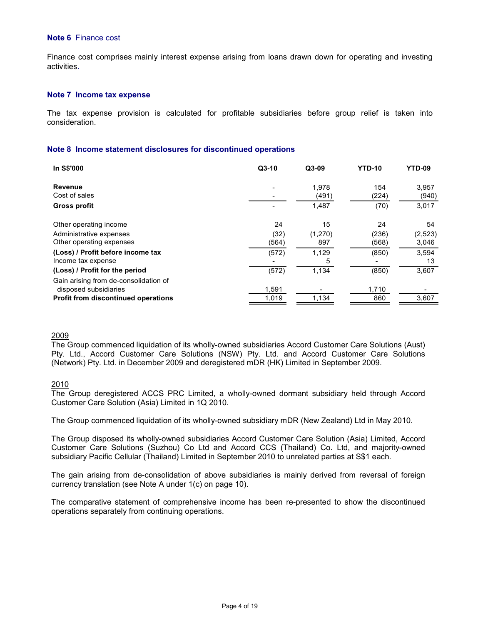#### **Note 6** Finance cost

Finance cost comprises mainly interest expense arising from loans drawn down for operating and investing activities.

#### **Note 7 Income tax expense**

 The tax expense provision is calculated for profitable subsidiaries before group relief is taken into consideration.

#### **Note 8 Income statement disclosures for discontinued operations**

| In S\$'000                                 | $Q3-10$ | $Q3-09$ | <b>YTD-10</b> | YTD-09  |
|--------------------------------------------|---------|---------|---------------|---------|
| Revenue                                    |         | 1,978   | 154           | 3,957   |
| Cost of sales                              |         | (491)   | (224)         | (940)   |
| <b>Gross profit</b>                        |         | 1,487   | (70)          | 3,017   |
| Other operating income                     | 24      | 15      | 24            | 54      |
| Administrative expenses                    | (32)    | (1,270) | (236)         | (2,523) |
| Other operating expenses                   | (564)   | 897     | (568)         | 3,046   |
| (Loss) / Profit before income tax          | (572)   | 1,129   | (850)         | 3,594   |
| Income tax expense                         |         | 5       |               | 13      |
| (Loss) / Profit for the period             | (572)   | 1,134   | (850)         | 3,607   |
| Gain arising from de-consolidation of      |         |         |               |         |
| disposed subsidiaries                      | 1,591   |         | 1,710         |         |
| <b>Profit from discontinued operations</b> | 1,019   | 1,134   | 860           | 3,607   |

### 2009

The Group commenced liquidation of its wholly-owned subsidiaries Accord Customer Care Solutions (Aust) Pty. Ltd., Accord Customer Care Solutions (NSW) Pty. Ltd. and Accord Customer Care Solutions (Network) Pty. Ltd. in December 2009 and deregistered mDR (HK) Limited in September 2009.

### 2010

The Group deregistered ACCS PRC Limited, a wholly-owned dormant subsidiary held through Accord Customer Care Solution (Asia) Limited in 1Q 2010.

The Group commenced liquidation of its wholly-owned subsidiary mDR (New Zealand) Ltd in May 2010.

The Group disposed its wholly-owned subsidiaries Accord Customer Care Solution (Asia) Limited, Accord Customer Care Solutions (Suzhou) Co Ltd and Accord CCS (Thailand) Co. Ltd, and majority-owned subsidiary Pacific Cellular (Thailand) Limited in September 2010 to unrelated parties at S\$1 each.

The gain arising from de-consolidation of above subsidiaries is mainly derived from reversal of foreign currency translation (see Note A under 1(c) on page 10).

The comparative statement of comprehensive income has been re-presented to show the discontinued operations separately from continuing operations.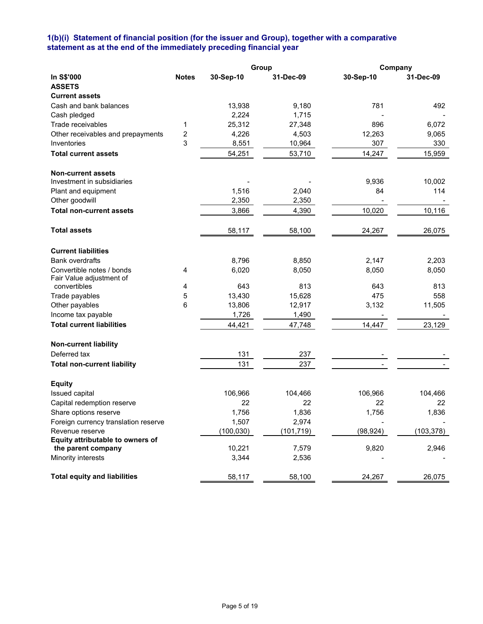## **1(b)(i) Statement of financial position (for the issuer and Group), together with a comparative statement as at the end of the immediately preceding financial year**

|                                                        |                |            | Group      | Company   |            |
|--------------------------------------------------------|----------------|------------|------------|-----------|------------|
| In S\$'000                                             | <b>Notes</b>   | 30-Sep-10  | 31-Dec-09  | 30-Sep-10 | 31-Dec-09  |
| <b>ASSETS</b>                                          |                |            |            |           |            |
| <b>Current assets</b>                                  |                |            |            |           |            |
| Cash and bank balances                                 |                | 13,938     | 9,180      | 781       | 492        |
| Cash pledged                                           |                | 2,224      | 1,715      |           |            |
| Trade receivables                                      | 1              | 25,312     | 27,348     | 896       | 6,072      |
| Other receivables and prepayments                      | $\overline{c}$ | 4,226      | 4,503      | 12,263    | 9,065      |
| Inventories                                            | 3              | 8,551      | 10,964     | 307       | 330        |
| <b>Total current assets</b>                            |                | 54,251     | 53,710     | 14,247    | 15,959     |
| <b>Non-current assets</b>                              |                |            |            |           |            |
| Investment in subsidiaries                             |                |            |            | 9,936     | 10,002     |
| Plant and equipment                                    |                | 1,516      | 2,040      | 84        | 114        |
| Other goodwill                                         |                | 2,350      | 2,350      |           |            |
| <b>Total non-current assets</b>                        |                |            |            |           |            |
|                                                        |                | 3,866      | 4,390      | 10,020    | 10,116     |
| <b>Total assets</b>                                    |                | 58,117     | 58,100     | 24,267    | 26,075     |
| <b>Current liabilities</b>                             |                |            |            |           |            |
| <b>Bank overdrafts</b>                                 |                | 8,796      | 8,850      | 2,147     | 2,203      |
| Convertible notes / bonds                              | 4              | 6,020      | 8,050      | 8,050     | 8,050      |
| Fair Value adjustment of                               |                |            |            |           |            |
| convertibles                                           | 4              | 643        | 813        | 643       | 813        |
| Trade payables                                         | 5              | 13,430     | 15,628     | 475       | 558        |
| Other payables                                         | 6              | 13,806     | 12,917     | 3,132     | 11,505     |
| Income tax payable                                     |                | 1,726      | 1,490      |           |            |
| <b>Total current liabilities</b>                       |                | 44,421     | 47,748     | 14,447    | 23,129     |
| <b>Non-current liability</b>                           |                |            |            |           |            |
| Deferred tax                                           |                | 131        | 237        |           |            |
| <b>Total non-current liability</b>                     |                | 131        | 237        |           |            |
|                                                        |                |            |            |           |            |
| <b>Equity</b>                                          |                |            |            |           |            |
| Issued capital                                         |                | 106,966    | 104,466    | 106,966   | 104,466    |
| Capital redemption reserve                             |                | 22         | 22         | 22        | 22         |
| Share options reserve                                  |                | 1,756      | 1,836      | 1,756     | 1,836      |
| Foreign currency translation reserve                   |                | 1,507      | 2,974      |           |            |
| Revenue reserve                                        |                | (100, 030) | (101, 719) | (98, 924) | (103, 378) |
| Equity attributable to owners of<br>the parent company |                | 10,221     | 7,579      | 9,820     | 2,946      |
| Minority interests                                     |                | 3,344      | 2,536      |           |            |
|                                                        |                |            |            |           |            |
| <b>Total equity and liabilities</b>                    |                | 58,117     | 58,100     | 24,267    | 26,075     |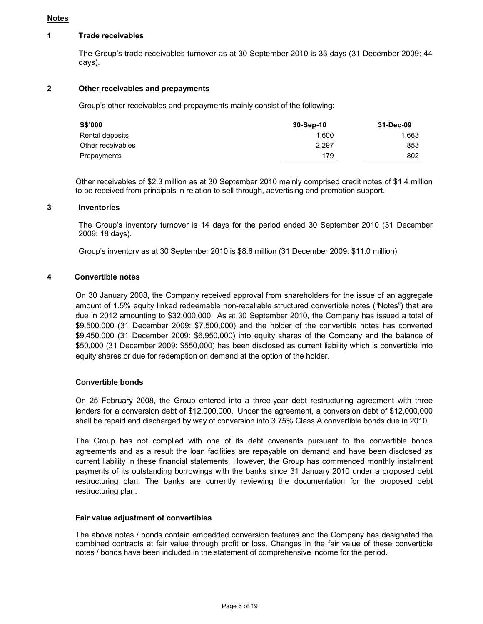### **Notes**

### **1 Trade receivables**

 The Group's trade receivables turnover as at 30 September 2010 is 33 days (31 December 2009: 44 days).

## **2 Other receivables and prepayments**

Group's other receivables and prepayments mainly consist of the following:

| <b>S\$'000</b>    | 30-Sep-10 | 31-Dec-09 |
|-------------------|-----------|-----------|
| Rental deposits   | 1.600     | 1,663     |
| Other receivables | 2.297     | 853       |
| Prepayments       | 179       | 802       |
|                   |           |           |

Other receivables of \$2.3 million as at 30 September 2010 mainly comprised credit notes of \$1.4 million to be received from principals in relation to sell through, advertising and promotion support.

## **3 Inventories**

 The Group's inventory turnover is 14 days for the period ended 30 September 2010 (31 December 2009: 18 days).

Group's inventory as at 30 September 2010 is \$8.6 million (31 December 2009: \$11.0 million)

#### **4 Convertible notes**

 On 30 January 2008, the Company received approval from shareholders for the issue of an aggregate amount of 1.5% equity linked redeemable non-recallable structured convertible notes ("Notes") that are due in 2012 amounting to \$32,000,000. As at 30 September 2010, the Company has issued a total of \$9,500,000 (31 December 2009: \$7,500,000) and the holder of the convertible notes has converted \$9,450,000 (31 December 2009: \$6,950,000) into equity shares of the Company and the balance of \$50,000 (31 December 2009: \$550,000) has been disclosed as current liability which is convertible into equity shares or due for redemption on demand at the option of the holder.

### **Convertible bonds**

 On 25 February 2008, the Group entered into a three-year debt restructuring agreement with three lenders for a conversion debt of \$12,000,000. Under the agreement, a conversion debt of \$12,000,000 shall be repaid and discharged by way of conversion into 3.75% Class A convertible bonds due in 2010.

 The Group has not complied with one of its debt covenants pursuant to the convertible bonds agreements and as a result the loan facilities are repayable on demand and have been disclosed as current liability in these financial statements. However, the Group has commenced monthly instalment payments of its outstanding borrowings with the banks since 31 January 2010 under a proposed debt restructuring plan. The banks are currently reviewing the documentation for the proposed debt restructuring plan.

#### **Fair value adjustment of convertibles**

The above notes / bonds contain embedded conversion features and the Company has designated the combined contracts at fair value through profit or loss. Changes in the fair value of these convertible notes / bonds have been included in the statement of comprehensive income for the period.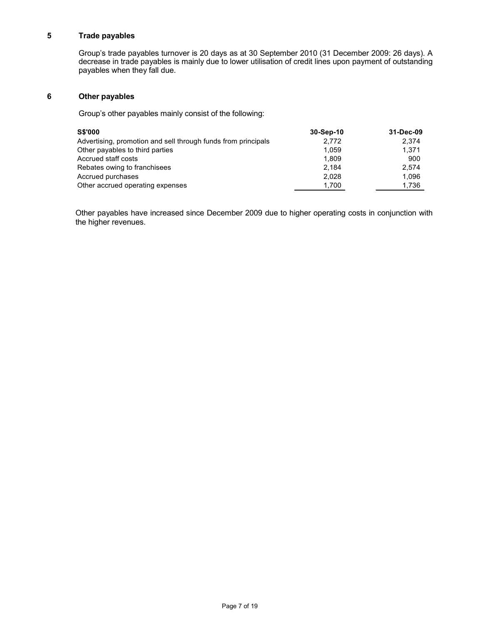## **5 Trade payables**

 Group's trade payables turnover is 20 days as at 30 September 2010 (31 December 2009: 26 days). A decrease in trade payables is mainly due to lower utilisation of credit lines upon payment of outstanding payables when they fall due.

## **6 Other payables**

Group's other payables mainly consist of the following:

| <b>S\$'000</b>                                                | 30-Sep-10 | 31-Dec-09 |
|---------------------------------------------------------------|-----------|-----------|
| Advertising, promotion and sell through funds from principals | 2.772     | 2.374     |
| Other payables to third parties                               | 1.059     | 1.371     |
| Accrued staff costs                                           | 1.809     | 900       |
| Rebates owing to franchisees                                  | 2.184     | 2.574     |
| Accrued purchases                                             | 2.028     | 1.096     |
| Other accrued operating expenses                              | 1,700     | 1,736     |

Other payables have increased since December 2009 due to higher operating costs in conjunction with the higher revenues.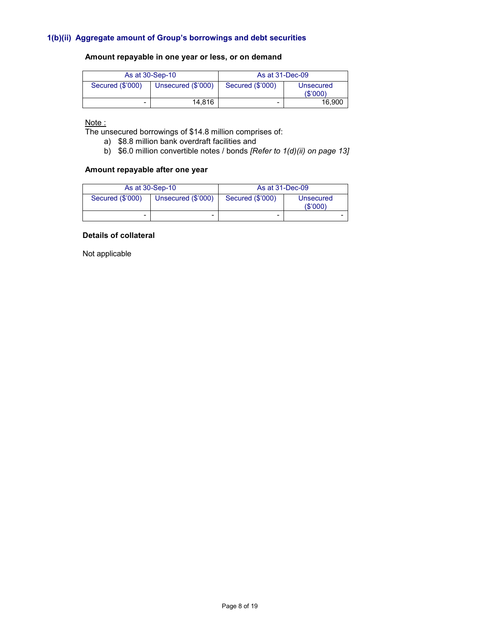## **Amount repayable in one year or less, or on demand**

| As at 30-Sep-10  |                    | As at 31-Dec-09  |                              |
|------------------|--------------------|------------------|------------------------------|
| Secured (\$'000) | Unsecured (\$'000) | Secured (\$'000) | <b>Unsecured</b><br>(\$'000) |
| -                | 14.816             | -                | 16.900                       |

#### Note:

The unsecured borrowings of \$14.8 million comprises of:

- a) \$8.8 million bank overdraft facilities and
- b) \$6.0 million convertible notes / bonds *[Refer to 1(d)(ii) on page 13]*

## **Amount repayable after one year**

| As at 30-Sep-10  |                    | As at 31-Dec-09  |                             |
|------------------|--------------------|------------------|-----------------------------|
| Secured (\$'000) | Unsecured (\$'000) | Secured (\$'000) | <b>Unsecured</b><br>(S'000) |
| -                | -                  | -                |                             |

## **Details of collateral**

Not applicable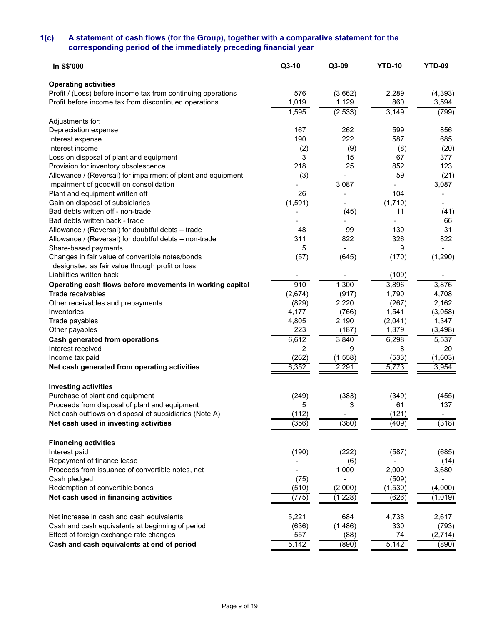## **1(c) A statement of cash flows (for the Group), together with a comparative statement for the corresponding period of the immediately preceding financial year**

| <b>Operating activities</b><br>Profit / (Loss) before income tax from continuing operations<br>576<br>(3,662)<br>2,289<br>(4, 393)<br>1,019<br>Profit before income tax from discontinued operations<br>1,129<br>860<br>3,594<br>1,595<br>3,149<br>(2, 533)<br>(799)<br>Adjustments for:<br>167<br>262<br>599<br>Depreciation expense<br>856<br>587<br>190<br>222<br>685<br>Interest expense<br>Interest income<br>(2)<br>(9)<br>(8)<br>(20)<br>15<br>Loss on disposal of plant and equipment<br>3<br>67<br>377<br>25<br>Provision for inventory obsolescence<br>218<br>852<br>123<br>59<br>(21)<br>Allowance / (Reversal) for impairment of plant and equipment<br>(3)<br>3,087<br>Impairment of goodwill on consolidation<br>3,087<br>Plant and equipment written off<br>26<br>104<br>Gain on disposal of subsidiaries<br>(1,591)<br>(1,710)<br>Bad debts written off - non-trade<br>11<br>(45)<br>(41)<br>Bad debts written back - trade<br>66<br>31<br>99<br>130<br>Allowance / (Reversal) for doubtful debts - trade<br>48<br>311<br>822<br>326<br>822<br>Allowance / (Reversal) for doubtful debts - non-trade<br>Share-based payments<br>5<br>9<br>Changes in fair value of convertible notes/bonds<br>(57)<br>(1, 290)<br>(645)<br>(170)<br>designated as fair value through profit or loss<br>Liabilities written back<br>(109)<br>910<br>1,300<br>3,876<br>3,896<br>Operating cash flows before movements in working capital<br>Trade receivables<br>(917)<br>1,790<br>4,708<br>(2,674)<br>(829)<br>2,220<br>(267)<br>2,162<br>Other receivables and prepayments<br>4,177<br>1,541<br>Inventories<br>(766)<br>(3,058)<br>4,805<br>2,190<br>(2,041)<br>Trade payables<br>1,347<br>223<br>1,379<br>(3, 498)<br>(187)<br>Other payables<br>6,612<br>3,840<br>6,298<br>5,537<br>Cash generated from operations<br>$\overline{2}$<br>Interest received<br>9<br>8<br>20<br>Income tax paid<br>(262)<br>(1, 558)<br>(533)<br>(1,603)<br>6,352<br>5,773<br>2,291<br>3,954<br>Net cash generated from operating activities<br><b>Investing activities</b><br>Purchase of plant and equipment<br>(383)<br>(249)<br>(349)<br>(455)<br>Proceeds from disposal of plant and equipment<br>3<br>61<br>137<br>5<br>(112)<br>(121)<br>Net cash outflows on disposal of subsidiaries (Note A)<br>(380)<br>(318)<br>(356)<br>(409)<br>Net cash used in investing activities<br><b>Financing activities</b><br>Interest paid<br>(190)<br>(222)<br>(587)<br>(685)<br>Repayment of finance lease<br>(6)<br>(14)<br>Proceeds from issuance of convertible notes, net<br>1,000<br>2,000<br>3,680<br>Cash pledged<br>(75)<br>(509)<br>Redemption of convertible bonds<br>(510)<br>(2,000)<br>(1, 530)<br>(4,000)<br>Net cash used in financing activities<br>(775)<br>(626)<br>(1,228)<br>(1,019)<br>5,221<br>Net increase in cash and cash equivalents<br>684<br>4,738<br>2,617<br>Cash and cash equivalents at beginning of period<br>(1,486)<br>330<br>(636)<br>(793)<br>Effect of foreign exchange rate changes<br>557<br>74<br>(88)<br>(2,714)<br>Cash and cash equivalents at end of period<br>5,142<br>(890)<br>5,142<br>(890) | In S\$'000 | Q3-10 | Q3-09 | <b>YTD-10</b> | <b>YTD-09</b> |
|------------------------------------------------------------------------------------------------------------------------------------------------------------------------------------------------------------------------------------------------------------------------------------------------------------------------------------------------------------------------------------------------------------------------------------------------------------------------------------------------------------------------------------------------------------------------------------------------------------------------------------------------------------------------------------------------------------------------------------------------------------------------------------------------------------------------------------------------------------------------------------------------------------------------------------------------------------------------------------------------------------------------------------------------------------------------------------------------------------------------------------------------------------------------------------------------------------------------------------------------------------------------------------------------------------------------------------------------------------------------------------------------------------------------------------------------------------------------------------------------------------------------------------------------------------------------------------------------------------------------------------------------------------------------------------------------------------------------------------------------------------------------------------------------------------------------------------------------------------------------------------------------------------------------------------------------------------------------------------------------------------------------------------------------------------------------------------------------------------------------------------------------------------------------------------------------------------------------------------------------------------------------------------------------------------------------------------------------------------------------------------------------------------------------------------------------------------------------------------------------------------------------------------------------------------------------------------------------------------------------------------------------------------------------------------------------------------------------------------------------------------------------------------------------------------------------------------------------------------------------------------------------------------------------------------------------------------------------------------------------------------------------------------------------------------------------------------------------------------------------|------------|-------|-------|---------------|---------------|
|                                                                                                                                                                                                                                                                                                                                                                                                                                                                                                                                                                                                                                                                                                                                                                                                                                                                                                                                                                                                                                                                                                                                                                                                                                                                                                                                                                                                                                                                                                                                                                                                                                                                                                                                                                                                                                                                                                                                                                                                                                                                                                                                                                                                                                                                                                                                                                                                                                                                                                                                                                                                                                                                                                                                                                                                                                                                                                                                                                                                                                                                                                                        |            |       |       |               |               |
|                                                                                                                                                                                                                                                                                                                                                                                                                                                                                                                                                                                                                                                                                                                                                                                                                                                                                                                                                                                                                                                                                                                                                                                                                                                                                                                                                                                                                                                                                                                                                                                                                                                                                                                                                                                                                                                                                                                                                                                                                                                                                                                                                                                                                                                                                                                                                                                                                                                                                                                                                                                                                                                                                                                                                                                                                                                                                                                                                                                                                                                                                                                        |            |       |       |               |               |
|                                                                                                                                                                                                                                                                                                                                                                                                                                                                                                                                                                                                                                                                                                                                                                                                                                                                                                                                                                                                                                                                                                                                                                                                                                                                                                                                                                                                                                                                                                                                                                                                                                                                                                                                                                                                                                                                                                                                                                                                                                                                                                                                                                                                                                                                                                                                                                                                                                                                                                                                                                                                                                                                                                                                                                                                                                                                                                                                                                                                                                                                                                                        |            |       |       |               |               |
|                                                                                                                                                                                                                                                                                                                                                                                                                                                                                                                                                                                                                                                                                                                                                                                                                                                                                                                                                                                                                                                                                                                                                                                                                                                                                                                                                                                                                                                                                                                                                                                                                                                                                                                                                                                                                                                                                                                                                                                                                                                                                                                                                                                                                                                                                                                                                                                                                                                                                                                                                                                                                                                                                                                                                                                                                                                                                                                                                                                                                                                                                                                        |            |       |       |               |               |
|                                                                                                                                                                                                                                                                                                                                                                                                                                                                                                                                                                                                                                                                                                                                                                                                                                                                                                                                                                                                                                                                                                                                                                                                                                                                                                                                                                                                                                                                                                                                                                                                                                                                                                                                                                                                                                                                                                                                                                                                                                                                                                                                                                                                                                                                                                                                                                                                                                                                                                                                                                                                                                                                                                                                                                                                                                                                                                                                                                                                                                                                                                                        |            |       |       |               |               |
|                                                                                                                                                                                                                                                                                                                                                                                                                                                                                                                                                                                                                                                                                                                                                                                                                                                                                                                                                                                                                                                                                                                                                                                                                                                                                                                                                                                                                                                                                                                                                                                                                                                                                                                                                                                                                                                                                                                                                                                                                                                                                                                                                                                                                                                                                                                                                                                                                                                                                                                                                                                                                                                                                                                                                                                                                                                                                                                                                                                                                                                                                                                        |            |       |       |               |               |
|                                                                                                                                                                                                                                                                                                                                                                                                                                                                                                                                                                                                                                                                                                                                                                                                                                                                                                                                                                                                                                                                                                                                                                                                                                                                                                                                                                                                                                                                                                                                                                                                                                                                                                                                                                                                                                                                                                                                                                                                                                                                                                                                                                                                                                                                                                                                                                                                                                                                                                                                                                                                                                                                                                                                                                                                                                                                                                                                                                                                                                                                                                                        |            |       |       |               |               |
|                                                                                                                                                                                                                                                                                                                                                                                                                                                                                                                                                                                                                                                                                                                                                                                                                                                                                                                                                                                                                                                                                                                                                                                                                                                                                                                                                                                                                                                                                                                                                                                                                                                                                                                                                                                                                                                                                                                                                                                                                                                                                                                                                                                                                                                                                                                                                                                                                                                                                                                                                                                                                                                                                                                                                                                                                                                                                                                                                                                                                                                                                                                        |            |       |       |               |               |
|                                                                                                                                                                                                                                                                                                                                                                                                                                                                                                                                                                                                                                                                                                                                                                                                                                                                                                                                                                                                                                                                                                                                                                                                                                                                                                                                                                                                                                                                                                                                                                                                                                                                                                                                                                                                                                                                                                                                                                                                                                                                                                                                                                                                                                                                                                                                                                                                                                                                                                                                                                                                                                                                                                                                                                                                                                                                                                                                                                                                                                                                                                                        |            |       |       |               |               |
|                                                                                                                                                                                                                                                                                                                                                                                                                                                                                                                                                                                                                                                                                                                                                                                                                                                                                                                                                                                                                                                                                                                                                                                                                                                                                                                                                                                                                                                                                                                                                                                                                                                                                                                                                                                                                                                                                                                                                                                                                                                                                                                                                                                                                                                                                                                                                                                                                                                                                                                                                                                                                                                                                                                                                                                                                                                                                                                                                                                                                                                                                                                        |            |       |       |               |               |
|                                                                                                                                                                                                                                                                                                                                                                                                                                                                                                                                                                                                                                                                                                                                                                                                                                                                                                                                                                                                                                                                                                                                                                                                                                                                                                                                                                                                                                                                                                                                                                                                                                                                                                                                                                                                                                                                                                                                                                                                                                                                                                                                                                                                                                                                                                                                                                                                                                                                                                                                                                                                                                                                                                                                                                                                                                                                                                                                                                                                                                                                                                                        |            |       |       |               |               |
|                                                                                                                                                                                                                                                                                                                                                                                                                                                                                                                                                                                                                                                                                                                                                                                                                                                                                                                                                                                                                                                                                                                                                                                                                                                                                                                                                                                                                                                                                                                                                                                                                                                                                                                                                                                                                                                                                                                                                                                                                                                                                                                                                                                                                                                                                                                                                                                                                                                                                                                                                                                                                                                                                                                                                                                                                                                                                                                                                                                                                                                                                                                        |            |       |       |               |               |
|                                                                                                                                                                                                                                                                                                                                                                                                                                                                                                                                                                                                                                                                                                                                                                                                                                                                                                                                                                                                                                                                                                                                                                                                                                                                                                                                                                                                                                                                                                                                                                                                                                                                                                                                                                                                                                                                                                                                                                                                                                                                                                                                                                                                                                                                                                                                                                                                                                                                                                                                                                                                                                                                                                                                                                                                                                                                                                                                                                                                                                                                                                                        |            |       |       |               |               |
|                                                                                                                                                                                                                                                                                                                                                                                                                                                                                                                                                                                                                                                                                                                                                                                                                                                                                                                                                                                                                                                                                                                                                                                                                                                                                                                                                                                                                                                                                                                                                                                                                                                                                                                                                                                                                                                                                                                                                                                                                                                                                                                                                                                                                                                                                                                                                                                                                                                                                                                                                                                                                                                                                                                                                                                                                                                                                                                                                                                                                                                                                                                        |            |       |       |               |               |
|                                                                                                                                                                                                                                                                                                                                                                                                                                                                                                                                                                                                                                                                                                                                                                                                                                                                                                                                                                                                                                                                                                                                                                                                                                                                                                                                                                                                                                                                                                                                                                                                                                                                                                                                                                                                                                                                                                                                                                                                                                                                                                                                                                                                                                                                                                                                                                                                                                                                                                                                                                                                                                                                                                                                                                                                                                                                                                                                                                                                                                                                                                                        |            |       |       |               |               |
|                                                                                                                                                                                                                                                                                                                                                                                                                                                                                                                                                                                                                                                                                                                                                                                                                                                                                                                                                                                                                                                                                                                                                                                                                                                                                                                                                                                                                                                                                                                                                                                                                                                                                                                                                                                                                                                                                                                                                                                                                                                                                                                                                                                                                                                                                                                                                                                                                                                                                                                                                                                                                                                                                                                                                                                                                                                                                                                                                                                                                                                                                                                        |            |       |       |               |               |
|                                                                                                                                                                                                                                                                                                                                                                                                                                                                                                                                                                                                                                                                                                                                                                                                                                                                                                                                                                                                                                                                                                                                                                                                                                                                                                                                                                                                                                                                                                                                                                                                                                                                                                                                                                                                                                                                                                                                                                                                                                                                                                                                                                                                                                                                                                                                                                                                                                                                                                                                                                                                                                                                                                                                                                                                                                                                                                                                                                                                                                                                                                                        |            |       |       |               |               |
|                                                                                                                                                                                                                                                                                                                                                                                                                                                                                                                                                                                                                                                                                                                                                                                                                                                                                                                                                                                                                                                                                                                                                                                                                                                                                                                                                                                                                                                                                                                                                                                                                                                                                                                                                                                                                                                                                                                                                                                                                                                                                                                                                                                                                                                                                                                                                                                                                                                                                                                                                                                                                                                                                                                                                                                                                                                                                                                                                                                                                                                                                                                        |            |       |       |               |               |
|                                                                                                                                                                                                                                                                                                                                                                                                                                                                                                                                                                                                                                                                                                                                                                                                                                                                                                                                                                                                                                                                                                                                                                                                                                                                                                                                                                                                                                                                                                                                                                                                                                                                                                                                                                                                                                                                                                                                                                                                                                                                                                                                                                                                                                                                                                                                                                                                                                                                                                                                                                                                                                                                                                                                                                                                                                                                                                                                                                                                                                                                                                                        |            |       |       |               |               |
|                                                                                                                                                                                                                                                                                                                                                                                                                                                                                                                                                                                                                                                                                                                                                                                                                                                                                                                                                                                                                                                                                                                                                                                                                                                                                                                                                                                                                                                                                                                                                                                                                                                                                                                                                                                                                                                                                                                                                                                                                                                                                                                                                                                                                                                                                                                                                                                                                                                                                                                                                                                                                                                                                                                                                                                                                                                                                                                                                                                                                                                                                                                        |            |       |       |               |               |
|                                                                                                                                                                                                                                                                                                                                                                                                                                                                                                                                                                                                                                                                                                                                                                                                                                                                                                                                                                                                                                                                                                                                                                                                                                                                                                                                                                                                                                                                                                                                                                                                                                                                                                                                                                                                                                                                                                                                                                                                                                                                                                                                                                                                                                                                                                                                                                                                                                                                                                                                                                                                                                                                                                                                                                                                                                                                                                                                                                                                                                                                                                                        |            |       |       |               |               |
|                                                                                                                                                                                                                                                                                                                                                                                                                                                                                                                                                                                                                                                                                                                                                                                                                                                                                                                                                                                                                                                                                                                                                                                                                                                                                                                                                                                                                                                                                                                                                                                                                                                                                                                                                                                                                                                                                                                                                                                                                                                                                                                                                                                                                                                                                                                                                                                                                                                                                                                                                                                                                                                                                                                                                                                                                                                                                                                                                                                                                                                                                                                        |            |       |       |               |               |
|                                                                                                                                                                                                                                                                                                                                                                                                                                                                                                                                                                                                                                                                                                                                                                                                                                                                                                                                                                                                                                                                                                                                                                                                                                                                                                                                                                                                                                                                                                                                                                                                                                                                                                                                                                                                                                                                                                                                                                                                                                                                                                                                                                                                                                                                                                                                                                                                                                                                                                                                                                                                                                                                                                                                                                                                                                                                                                                                                                                                                                                                                                                        |            |       |       |               |               |
|                                                                                                                                                                                                                                                                                                                                                                                                                                                                                                                                                                                                                                                                                                                                                                                                                                                                                                                                                                                                                                                                                                                                                                                                                                                                                                                                                                                                                                                                                                                                                                                                                                                                                                                                                                                                                                                                                                                                                                                                                                                                                                                                                                                                                                                                                                                                                                                                                                                                                                                                                                                                                                                                                                                                                                                                                                                                                                                                                                                                                                                                                                                        |            |       |       |               |               |
|                                                                                                                                                                                                                                                                                                                                                                                                                                                                                                                                                                                                                                                                                                                                                                                                                                                                                                                                                                                                                                                                                                                                                                                                                                                                                                                                                                                                                                                                                                                                                                                                                                                                                                                                                                                                                                                                                                                                                                                                                                                                                                                                                                                                                                                                                                                                                                                                                                                                                                                                                                                                                                                                                                                                                                                                                                                                                                                                                                                                                                                                                                                        |            |       |       |               |               |
|                                                                                                                                                                                                                                                                                                                                                                                                                                                                                                                                                                                                                                                                                                                                                                                                                                                                                                                                                                                                                                                                                                                                                                                                                                                                                                                                                                                                                                                                                                                                                                                                                                                                                                                                                                                                                                                                                                                                                                                                                                                                                                                                                                                                                                                                                                                                                                                                                                                                                                                                                                                                                                                                                                                                                                                                                                                                                                                                                                                                                                                                                                                        |            |       |       |               |               |
|                                                                                                                                                                                                                                                                                                                                                                                                                                                                                                                                                                                                                                                                                                                                                                                                                                                                                                                                                                                                                                                                                                                                                                                                                                                                                                                                                                                                                                                                                                                                                                                                                                                                                                                                                                                                                                                                                                                                                                                                                                                                                                                                                                                                                                                                                                                                                                                                                                                                                                                                                                                                                                                                                                                                                                                                                                                                                                                                                                                                                                                                                                                        |            |       |       |               |               |
|                                                                                                                                                                                                                                                                                                                                                                                                                                                                                                                                                                                                                                                                                                                                                                                                                                                                                                                                                                                                                                                                                                                                                                                                                                                                                                                                                                                                                                                                                                                                                                                                                                                                                                                                                                                                                                                                                                                                                                                                                                                                                                                                                                                                                                                                                                                                                                                                                                                                                                                                                                                                                                                                                                                                                                                                                                                                                                                                                                                                                                                                                                                        |            |       |       |               |               |
|                                                                                                                                                                                                                                                                                                                                                                                                                                                                                                                                                                                                                                                                                                                                                                                                                                                                                                                                                                                                                                                                                                                                                                                                                                                                                                                                                                                                                                                                                                                                                                                                                                                                                                                                                                                                                                                                                                                                                                                                                                                                                                                                                                                                                                                                                                                                                                                                                                                                                                                                                                                                                                                                                                                                                                                                                                                                                                                                                                                                                                                                                                                        |            |       |       |               |               |
|                                                                                                                                                                                                                                                                                                                                                                                                                                                                                                                                                                                                                                                                                                                                                                                                                                                                                                                                                                                                                                                                                                                                                                                                                                                                                                                                                                                                                                                                                                                                                                                                                                                                                                                                                                                                                                                                                                                                                                                                                                                                                                                                                                                                                                                                                                                                                                                                                                                                                                                                                                                                                                                                                                                                                                                                                                                                                                                                                                                                                                                                                                                        |            |       |       |               |               |
|                                                                                                                                                                                                                                                                                                                                                                                                                                                                                                                                                                                                                                                                                                                                                                                                                                                                                                                                                                                                                                                                                                                                                                                                                                                                                                                                                                                                                                                                                                                                                                                                                                                                                                                                                                                                                                                                                                                                                                                                                                                                                                                                                                                                                                                                                                                                                                                                                                                                                                                                                                                                                                                                                                                                                                                                                                                                                                                                                                                                                                                                                                                        |            |       |       |               |               |
|                                                                                                                                                                                                                                                                                                                                                                                                                                                                                                                                                                                                                                                                                                                                                                                                                                                                                                                                                                                                                                                                                                                                                                                                                                                                                                                                                                                                                                                                                                                                                                                                                                                                                                                                                                                                                                                                                                                                                                                                                                                                                                                                                                                                                                                                                                                                                                                                                                                                                                                                                                                                                                                                                                                                                                                                                                                                                                                                                                                                                                                                                                                        |            |       |       |               |               |
|                                                                                                                                                                                                                                                                                                                                                                                                                                                                                                                                                                                                                                                                                                                                                                                                                                                                                                                                                                                                                                                                                                                                                                                                                                                                                                                                                                                                                                                                                                                                                                                                                                                                                                                                                                                                                                                                                                                                                                                                                                                                                                                                                                                                                                                                                                                                                                                                                                                                                                                                                                                                                                                                                                                                                                                                                                                                                                                                                                                                                                                                                                                        |            |       |       |               |               |
|                                                                                                                                                                                                                                                                                                                                                                                                                                                                                                                                                                                                                                                                                                                                                                                                                                                                                                                                                                                                                                                                                                                                                                                                                                                                                                                                                                                                                                                                                                                                                                                                                                                                                                                                                                                                                                                                                                                                                                                                                                                                                                                                                                                                                                                                                                                                                                                                                                                                                                                                                                                                                                                                                                                                                                                                                                                                                                                                                                                                                                                                                                                        |            |       |       |               |               |
|                                                                                                                                                                                                                                                                                                                                                                                                                                                                                                                                                                                                                                                                                                                                                                                                                                                                                                                                                                                                                                                                                                                                                                                                                                                                                                                                                                                                                                                                                                                                                                                                                                                                                                                                                                                                                                                                                                                                                                                                                                                                                                                                                                                                                                                                                                                                                                                                                                                                                                                                                                                                                                                                                                                                                                                                                                                                                                                                                                                                                                                                                                                        |            |       |       |               |               |
|                                                                                                                                                                                                                                                                                                                                                                                                                                                                                                                                                                                                                                                                                                                                                                                                                                                                                                                                                                                                                                                                                                                                                                                                                                                                                                                                                                                                                                                                                                                                                                                                                                                                                                                                                                                                                                                                                                                                                                                                                                                                                                                                                                                                                                                                                                                                                                                                                                                                                                                                                                                                                                                                                                                                                                                                                                                                                                                                                                                                                                                                                                                        |            |       |       |               |               |
|                                                                                                                                                                                                                                                                                                                                                                                                                                                                                                                                                                                                                                                                                                                                                                                                                                                                                                                                                                                                                                                                                                                                                                                                                                                                                                                                                                                                                                                                                                                                                                                                                                                                                                                                                                                                                                                                                                                                                                                                                                                                                                                                                                                                                                                                                                                                                                                                                                                                                                                                                                                                                                                                                                                                                                                                                                                                                                                                                                                                                                                                                                                        |            |       |       |               |               |
|                                                                                                                                                                                                                                                                                                                                                                                                                                                                                                                                                                                                                                                                                                                                                                                                                                                                                                                                                                                                                                                                                                                                                                                                                                                                                                                                                                                                                                                                                                                                                                                                                                                                                                                                                                                                                                                                                                                                                                                                                                                                                                                                                                                                                                                                                                                                                                                                                                                                                                                                                                                                                                                                                                                                                                                                                                                                                                                                                                                                                                                                                                                        |            |       |       |               |               |
|                                                                                                                                                                                                                                                                                                                                                                                                                                                                                                                                                                                                                                                                                                                                                                                                                                                                                                                                                                                                                                                                                                                                                                                                                                                                                                                                                                                                                                                                                                                                                                                                                                                                                                                                                                                                                                                                                                                                                                                                                                                                                                                                                                                                                                                                                                                                                                                                                                                                                                                                                                                                                                                                                                                                                                                                                                                                                                                                                                                                                                                                                                                        |            |       |       |               |               |
|                                                                                                                                                                                                                                                                                                                                                                                                                                                                                                                                                                                                                                                                                                                                                                                                                                                                                                                                                                                                                                                                                                                                                                                                                                                                                                                                                                                                                                                                                                                                                                                                                                                                                                                                                                                                                                                                                                                                                                                                                                                                                                                                                                                                                                                                                                                                                                                                                                                                                                                                                                                                                                                                                                                                                                                                                                                                                                                                                                                                                                                                                                                        |            |       |       |               |               |
|                                                                                                                                                                                                                                                                                                                                                                                                                                                                                                                                                                                                                                                                                                                                                                                                                                                                                                                                                                                                                                                                                                                                                                                                                                                                                                                                                                                                                                                                                                                                                                                                                                                                                                                                                                                                                                                                                                                                                                                                                                                                                                                                                                                                                                                                                                                                                                                                                                                                                                                                                                                                                                                                                                                                                                                                                                                                                                                                                                                                                                                                                                                        |            |       |       |               |               |
|                                                                                                                                                                                                                                                                                                                                                                                                                                                                                                                                                                                                                                                                                                                                                                                                                                                                                                                                                                                                                                                                                                                                                                                                                                                                                                                                                                                                                                                                                                                                                                                                                                                                                                                                                                                                                                                                                                                                                                                                                                                                                                                                                                                                                                                                                                                                                                                                                                                                                                                                                                                                                                                                                                                                                                                                                                                                                                                                                                                                                                                                                                                        |            |       |       |               |               |
|                                                                                                                                                                                                                                                                                                                                                                                                                                                                                                                                                                                                                                                                                                                                                                                                                                                                                                                                                                                                                                                                                                                                                                                                                                                                                                                                                                                                                                                                                                                                                                                                                                                                                                                                                                                                                                                                                                                                                                                                                                                                                                                                                                                                                                                                                                                                                                                                                                                                                                                                                                                                                                                                                                                                                                                                                                                                                                                                                                                                                                                                                                                        |            |       |       |               |               |
|                                                                                                                                                                                                                                                                                                                                                                                                                                                                                                                                                                                                                                                                                                                                                                                                                                                                                                                                                                                                                                                                                                                                                                                                                                                                                                                                                                                                                                                                                                                                                                                                                                                                                                                                                                                                                                                                                                                                                                                                                                                                                                                                                                                                                                                                                                                                                                                                                                                                                                                                                                                                                                                                                                                                                                                                                                                                                                                                                                                                                                                                                                                        |            |       |       |               |               |
|                                                                                                                                                                                                                                                                                                                                                                                                                                                                                                                                                                                                                                                                                                                                                                                                                                                                                                                                                                                                                                                                                                                                                                                                                                                                                                                                                                                                                                                                                                                                                                                                                                                                                                                                                                                                                                                                                                                                                                                                                                                                                                                                                                                                                                                                                                                                                                                                                                                                                                                                                                                                                                                                                                                                                                                                                                                                                                                                                                                                                                                                                                                        |            |       |       |               |               |
|                                                                                                                                                                                                                                                                                                                                                                                                                                                                                                                                                                                                                                                                                                                                                                                                                                                                                                                                                                                                                                                                                                                                                                                                                                                                                                                                                                                                                                                                                                                                                                                                                                                                                                                                                                                                                                                                                                                                                                                                                                                                                                                                                                                                                                                                                                                                                                                                                                                                                                                                                                                                                                                                                                                                                                                                                                                                                                                                                                                                                                                                                                                        |            |       |       |               |               |
|                                                                                                                                                                                                                                                                                                                                                                                                                                                                                                                                                                                                                                                                                                                                                                                                                                                                                                                                                                                                                                                                                                                                                                                                                                                                                                                                                                                                                                                                                                                                                                                                                                                                                                                                                                                                                                                                                                                                                                                                                                                                                                                                                                                                                                                                                                                                                                                                                                                                                                                                                                                                                                                                                                                                                                                                                                                                                                                                                                                                                                                                                                                        |            |       |       |               |               |
|                                                                                                                                                                                                                                                                                                                                                                                                                                                                                                                                                                                                                                                                                                                                                                                                                                                                                                                                                                                                                                                                                                                                                                                                                                                                                                                                                                                                                                                                                                                                                                                                                                                                                                                                                                                                                                                                                                                                                                                                                                                                                                                                                                                                                                                                                                                                                                                                                                                                                                                                                                                                                                                                                                                                                                                                                                                                                                                                                                                                                                                                                                                        |            |       |       |               |               |
|                                                                                                                                                                                                                                                                                                                                                                                                                                                                                                                                                                                                                                                                                                                                                                                                                                                                                                                                                                                                                                                                                                                                                                                                                                                                                                                                                                                                                                                                                                                                                                                                                                                                                                                                                                                                                                                                                                                                                                                                                                                                                                                                                                                                                                                                                                                                                                                                                                                                                                                                                                                                                                                                                                                                                                                                                                                                                                                                                                                                                                                                                                                        |            |       |       |               |               |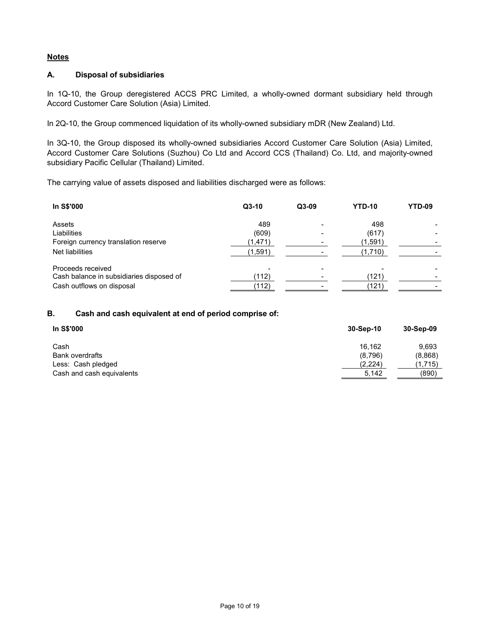## **Notes**

## **A. Disposal of subsidiaries**

In 1Q-10, the Group deregistered ACCS PRC Limited, a wholly-owned dormant subsidiary held through Accord Customer Care Solution (Asia) Limited.

In 2Q-10, the Group commenced liquidation of its wholly-owned subsidiary mDR (New Zealand) Ltd.

In 3Q-10, the Group disposed its wholly-owned subsidiaries Accord Customer Care Solution (Asia) Limited, Accord Customer Care Solutions (Suzhou) Co Ltd and Accord CCS (Thailand) Co. Ltd, and majority-owned subsidiary Pacific Cellular (Thailand) Limited.

The carrying value of assets disposed and liabilities discharged were as follows:

| In S\$'000                               | $Q3-10$ | $Q3-09$ | <b>YTD-10</b> | YTD-09 |
|------------------------------------------|---------|---------|---------------|--------|
| Assets                                   | 489     |         | 498           |        |
| Liabilities                              | (609)   |         | (617)         |        |
| Foreign currency translation reserve     | (1,471) |         | (1,591)       |        |
| Net liabilities                          | (1,591) |         | (1,710)       |        |
| Proceeds received                        |         |         |               |        |
| Cash balance in subsidiaries disposed of | (112)   |         | (121)         |        |
| Cash outflows on disposal                | (112)   |         | (121)         |        |

## **B. Cash and cash equivalent at end of period comprise of:**

| In S\$'000                | 30-Sep-10 | 30-Sep-09 |
|---------------------------|-----------|-----------|
| Cash                      | 16.162    | 9.693     |
| <b>Bank overdrafts</b>    | (8,796)   | (8,868)   |
| Less: Cash pledged        | (2,224)   | (1,715)   |
| Cash and cash equivalents | 5,142     | (890)     |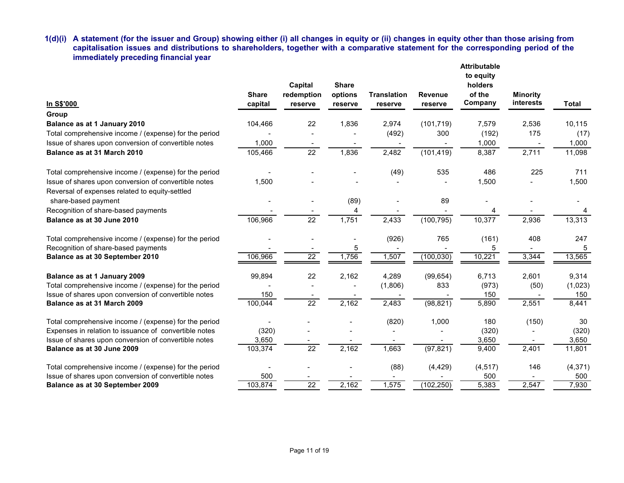**1(d)(i) A statement (for the issuer and Group) showing either (i) all changes in equity or (ii) changes in equity other than those arising from capitalisation issues and distributions to shareholders, together with a comparative statement for the corresponding period of the immediately preceding financial year Attributable**

| In S\$'000                                                                                             | <b>Share</b><br>capital | Capital<br>redemption<br>reserve | <b>Share</b><br>options<br>reserve | <b>Translation</b><br>reserve | <b>Revenue</b><br>reserve | Altribulable<br>to equity<br>holders<br>of the<br>Company | <b>Minority</b><br>interests | <b>Total</b> |
|--------------------------------------------------------------------------------------------------------|-------------------------|----------------------------------|------------------------------------|-------------------------------|---------------------------|-----------------------------------------------------------|------------------------------|--------------|
| Group                                                                                                  |                         |                                  |                                    |                               |                           |                                                           |                              |              |
| Balance as at 1 January 2010                                                                           | 104,466                 | 22                               | 1,836                              | 2,974                         | (101, 719)                | 7,579                                                     | 2,536                        | 10,115       |
| Total comprehensive income / (expense) for the period                                                  |                         |                                  |                                    | (492)                         | 300                       | (192)                                                     | 175                          | (17)         |
| Issue of shares upon conversion of convertible notes                                                   | 1,000                   |                                  |                                    |                               |                           | 1,000                                                     |                              | 1,000        |
| Balance as at 31 March 2010                                                                            | 105,466                 | 22                               | 1,836                              | 2,482                         | (101, 419)                | 8,387                                                     | 2,711                        | 11,098       |
| Total comprehensive income / (expense) for the period                                                  |                         |                                  |                                    | (49)                          | 535                       | 486                                                       | 225                          | 711          |
| Issue of shares upon conversion of convertible notes<br>Reversal of expenses related to equity-settled | 1,500                   |                                  |                                    |                               |                           | 1,500                                                     |                              | 1,500        |
| share-based payment                                                                                    |                         |                                  | (89)                               |                               | 89                        |                                                           |                              |              |
| Recognition of share-based payments                                                                    |                         |                                  | 4                                  |                               |                           |                                                           |                              |              |
| Balance as at 30 June 2010                                                                             | 106,966                 | 22                               | 1,751                              | 2,433                         | (100, 795)                | 10,377                                                    | 2,936                        | 13,313       |
| Total comprehensive income / (expense) for the period                                                  |                         |                                  | $\overline{a}$                     | (926)                         | 765                       | (161)                                                     | 408                          | 247          |
| Recognition of share-based payments                                                                    |                         |                                  | 5                                  |                               |                           | 5                                                         |                              | 5            |
| Balance as at 30 September 2010                                                                        | 106,966                 | $\overline{22}$                  | 1,756                              | 1,507                         | (100, 030)                | 10,221                                                    | 3,344                        | 13,565       |
| Balance as at 1 January 2009                                                                           | 99,894                  | 22                               | 2,162                              | 4,289                         | (99, 654)                 | 6,713                                                     | 2,601                        | 9,314        |
| Total comprehensive income / (expense) for the period                                                  |                         |                                  |                                    | (1,806)                       | 833                       | (973)                                                     | (50)                         | (1,023)      |
| Issue of shares upon conversion of convertible notes                                                   | 150                     |                                  |                                    |                               |                           | 150                                                       |                              | 150          |
| Balance as at 31 March 2009                                                                            | 100,044                 | $\overline{22}$                  | 2,162                              | 2,483                         | (98, 821)                 | 5,890                                                     | 2,551                        | 8,441        |
| Total comprehensive income / (expense) for the period                                                  |                         |                                  |                                    | (820)                         | 1,000                     | 180                                                       | (150)                        | 30           |
| Expenses in relation to issuance of convertible notes                                                  | (320)                   |                                  |                                    |                               |                           | (320)                                                     |                              | (320)        |
| Issue of shares upon conversion of convertible notes                                                   | 3,650                   |                                  |                                    |                               |                           | 3,650                                                     |                              | 3,650        |
| Balance as at 30 June 2009                                                                             | 103,374                 | $\overline{22}$                  | 2,162                              | 1,663                         | (97, 821)                 | 9,400                                                     | 2,401                        | 11,801       |
| Total comprehensive income / (expense) for the period                                                  |                         |                                  |                                    | (88)                          | (4, 429)                  | (4, 517)                                                  | 146                          | (4, 371)     |
| Issue of shares upon conversion of convertible notes                                                   | 500                     |                                  |                                    |                               |                           | 500                                                       |                              | 500          |
| Balance as at 30 September 2009                                                                        | 103,874                 | $\overline{22}$                  | 2,162                              | 1,575                         | (102, 250)                | 5,383                                                     | 2,547                        | 7,930        |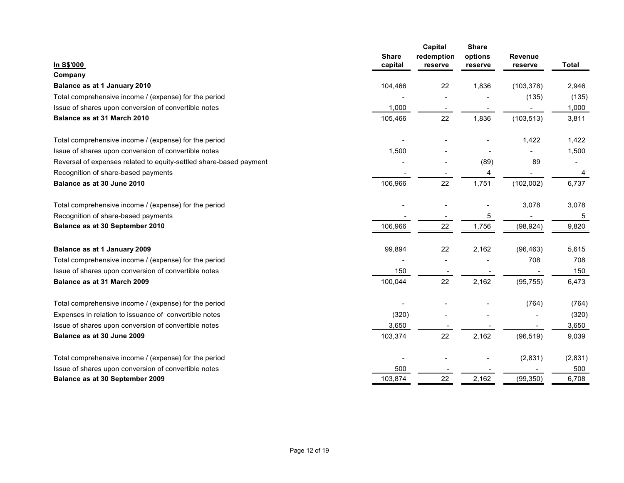| In S\$'000                                                         | <b>Share</b><br>capital | Capital<br>redemption<br>reserve | <b>Share</b><br>options<br>reserve | <b>Revenue</b><br>reserve | <b>Total</b>             |
|--------------------------------------------------------------------|-------------------------|----------------------------------|------------------------------------|---------------------------|--------------------------|
| Company                                                            |                         |                                  |                                    |                           |                          |
| Balance as at 1 January 2010                                       | 104,466                 | 22                               | 1,836                              | (103, 378)                | 2,946                    |
| Total comprehensive income / (expense) for the period              |                         |                                  |                                    | (135)                     | (135)                    |
| Issue of shares upon conversion of convertible notes               | 1,000                   |                                  |                                    |                           | 1,000                    |
| Balance as at 31 March 2010                                        | 105,466                 | 22                               | 1,836                              | (103, 513)                | 3,811                    |
| Total comprehensive income / (expense) for the period              |                         |                                  |                                    | 1,422                     | 1,422                    |
| Issue of shares upon conversion of convertible notes               | 1,500                   |                                  |                                    |                           | 1,500                    |
| Reversal of expenses related to equity-settled share-based payment |                         |                                  | (89)                               | 89                        | $\overline{\phantom{a}}$ |
| Recognition of share-based payments                                |                         |                                  | 4                                  |                           | 4                        |
| Balance as at 30 June 2010                                         | 106,966                 | 22                               | 1,751                              | (102,002)                 | 6,737                    |
| Total comprehensive income / (expense) for the period              |                         |                                  |                                    | 3,078                     | 3,078                    |
| Recognition of share-based payments                                |                         |                                  | 5                                  |                           | 5                        |
| Balance as at 30 September 2010                                    | 106,966                 | 22                               | 1,756                              | (98, 924)                 | 9,820                    |
| Balance as at 1 January 2009                                       | 99,894                  | 22                               | 2,162                              | (96, 463)                 | 5,615                    |
| Total comprehensive income / (expense) for the period              |                         |                                  |                                    | 708                       | 708                      |
| Issue of shares upon conversion of convertible notes               | 150                     |                                  |                                    |                           | 150                      |
| Balance as at 31 March 2009                                        | 100,044                 | 22                               | 2,162                              | (95, 755)                 | 6,473                    |
| Total comprehensive income / (expense) for the period              |                         |                                  |                                    | (764)                     | (764)                    |
| Expenses in relation to issuance of convertible notes              | (320)                   |                                  |                                    |                           | (320)                    |
| Issue of shares upon conversion of convertible notes               | 3,650                   |                                  |                                    |                           | 3,650                    |
| Balance as at 30 June 2009                                         | 103,374                 | 22                               | 2,162                              | (96, 519)                 | 9,039                    |
| Total comprehensive income / (expense) for the period              |                         |                                  |                                    | (2,831)                   | (2,831)                  |
| Issue of shares upon conversion of convertible notes               | 500                     |                                  |                                    |                           | 500                      |
| Balance as at 30 September 2009                                    | 103,874                 | 22                               | 2,162                              | (99, 350)                 | 6,708                    |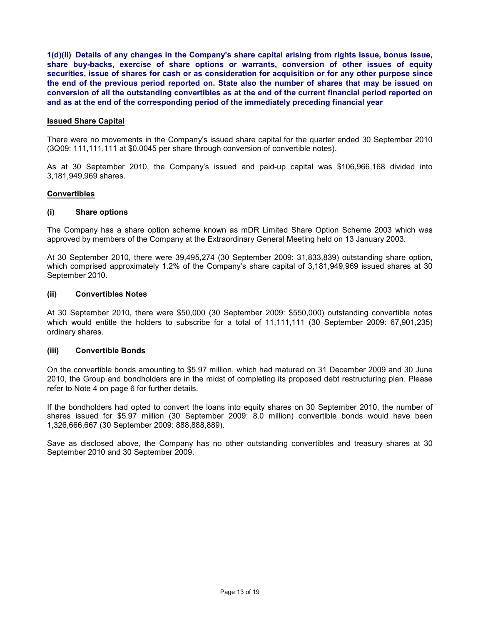**1(d)(ii) Details of any changes in the Company's share capital arising from rights issue, bonus issue, share buy-backs, exercise of share options or warrants, conversion of other issues of equity securities, issue of shares for cash or as consideration for acquisition or for any other purpose since the end of the previous period reported on. State also the number of shares that may be issued on conversion of all the outstanding convertibles as at the end of the current financial period reported on and as at the end of the corresponding period of the immediately preceding financial year** 

### **Issued Share Capital**

There were no movements in the Company's issued share capital for the quarter ended 30 September 2010 (3Q09: 111,111,111 at \$0.0045 per share through conversion of convertible notes).

As at 30 September 2010, the Company's issued and paid-up capital was \$106,966,168 divided into 3,181,949,969 shares.

#### **Convertibles**

### **(i) Share options**

The Company has a share option scheme known as mDR Limited Share Option Scheme 2003 which was approved by members of the Company at the Extraordinary General Meeting held on 13 January 2003.

At 30 September 2010, there were 39,495,274 (30 September 2009: 31,833,839) outstanding share option, which comprised approximately 1.2% of the Company's share capital of 3,181,949,969 issued shares at 30 September 2010.

#### **(ii) Convertibles Notes**

At 30 September 2010, there were \$50,000 (30 September 2009: \$550,000) outstanding convertible notes which would entitle the holders to subscribe for a total of 11,111,111 (30 September 2009: 67,901,235) ordinary shares.

## **(iii) Convertible Bonds**

On the convertible bonds amounting to \$5.97 million, which had matured on 31 December 2009 and 30 June 2010, the Group and bondholders are in the midst of completing its proposed debt restructuring plan. Please refer to Note 4 on page 6 for further details.

If the bondholders had opted to convert the loans into equity shares on 30 September 2010, the number of shares issued for \$5.97 million (30 September 2009: 8.0 million) convertible bonds would have been 1,326,666,667 (30 September 2009: 888,888,889).

Save as disclosed above, the Company has no other outstanding convertibles and treasury shares at 30 September 2010 and 30 September 2009.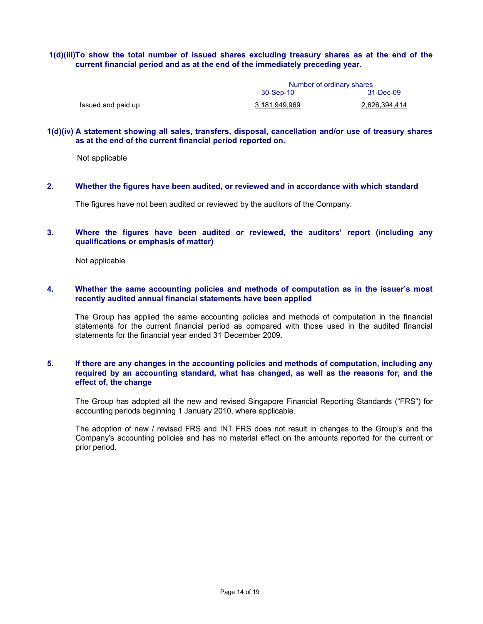## **1(d)(iii)To show the total number of issued shares excluding treasury shares as at the end of the current financial period and as at the end of the immediately preceding year.**

|                    | Number of ordinary shares |               |  |
|--------------------|---------------------------|---------------|--|
|                    | 30-Sep-10<br>31-Dec-09    |               |  |
| Issued and paid up | 3.181.949.969             | 2.626.394.414 |  |

#### **1(d)(iv) A statement showing all sales, transfers, disposal, cancellation and/or use of treasury shares as at the end of the current financial period reported on.**

Not applicable

**2. Whether the figures have been audited, or reviewed and in accordance with which standard** 

The figures have not been audited or reviewed by the auditors of the Company.

## **3. Where the figures have been audited or reviewed, the auditors' report (including any qualifications or emphasis of matter)**

Not applicable

## **4. Whether the same accounting policies and methods of computation as in the issuer's most recently audited annual financial statements have been applied**

The Group has applied the same accounting policies and methods of computation in the financial statements for the current financial period as compared with those used in the audited financial statements for the financial year ended 31 December 2009.

## **5. If there are any changes in the accounting policies and methods of computation, including any required by an accounting standard, what has changed, as well as the reasons for, and the effect of, the change**

The Group has adopted all the new and revised Singapore Financial Reporting Standards ("FRS") for accounting periods beginning 1 January 2010, where applicable.

The adoption of new / revised FRS and INT FRS does not result in changes to the Group's and the Company's accounting policies and has no material effect on the amounts reported for the current or prior period.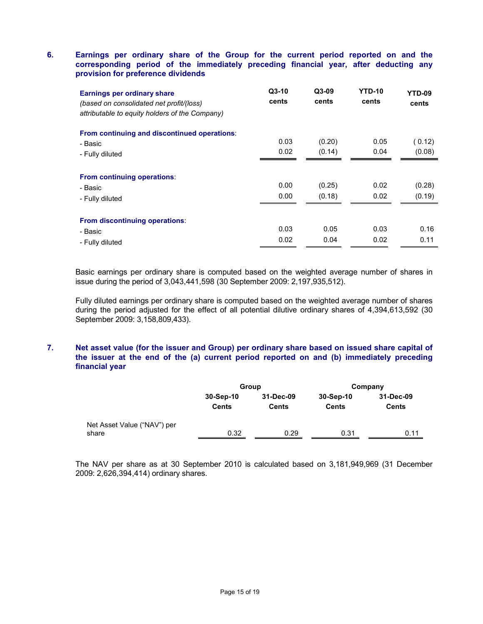## **6. Earnings per ordinary share of the Group for the current period reported on and the corresponding period of the immediately preceding financial year, after deducting any provision for preference dividends**

| Earnings per ordinary share<br>(based on consolidated net profit/(loss)<br>attributable to equity holders of the Company) | $Q3-10$<br>cents | $Q3-09$<br>cents | <b>YTD-10</b><br>cents | YTD-09<br>cents  |
|---------------------------------------------------------------------------------------------------------------------------|------------------|------------------|------------------------|------------------|
| From continuing and discontinued operations:                                                                              |                  |                  |                        |                  |
| - Basic                                                                                                                   | 0.03             | (0.20)           | 0.05                   | ( 0.12)          |
| - Fully diluted                                                                                                           | 0.02             | (0.14)           | 0.04                   | (0.08)           |
| From continuing operations:<br>- Basic<br>- Fully diluted                                                                 | 0.00<br>0.00     | (0.25)<br>(0.18) | 0.02<br>0.02           | (0.28)<br>(0.19) |
| From discontinuing operations:                                                                                            |                  |                  |                        |                  |
| - Basic                                                                                                                   | 0.03             | 0.05             | 0.03                   | 0.16             |
| - Fully diluted                                                                                                           | 0.02             | 0.04             | 0.02                   | 0.11             |

Basic earnings per ordinary share is computed based on the weighted average number of shares in issue during the period of 3,043,441,598 (30 September 2009: 2,197,935,512).

Fully diluted earnings per ordinary share is computed based on the weighted average number of shares during the period adjusted for the effect of all potential dilutive ordinary shares of 4,394,613,592 (30 September 2009: 3,158,809,433).

## **7. Net asset value (for the issuer and Group) per ordinary share based on issued share capital of the issuer at the end of the (a) current period reported on and (b) immediately preceding financial year**

|                                      |                           | Group                     |                           | Company                   |
|--------------------------------------|---------------------------|---------------------------|---------------------------|---------------------------|
|                                      | 30-Sep-10<br><b>Cents</b> | 31-Dec-09<br><b>Cents</b> | 30-Sep-10<br><b>Cents</b> | 31-Dec-09<br><b>Cents</b> |
| Net Asset Value ("NAV") per<br>share | 0.32                      | 0.29                      | 0.31                      | 0.11                      |

The NAV per share as at 30 September 2010 is calculated based on 3,181,949,969 (31 December 2009: 2,626,394,414) ordinary shares.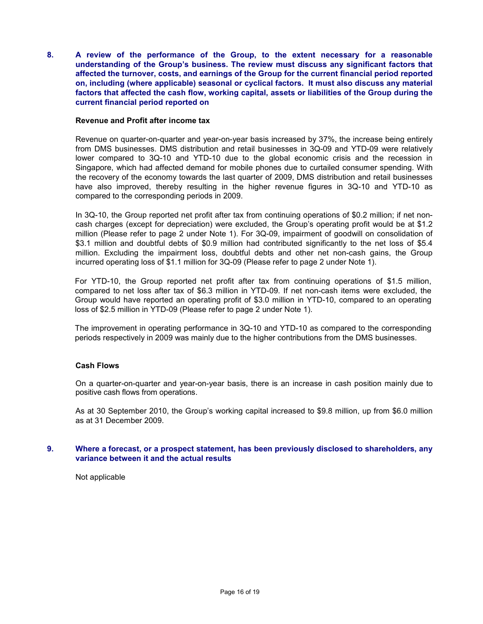**8. A review of the performance of the Group, to the extent necessary for a reasonable understanding of the Group's business. The review must discuss any significant factors that affected the turnover, costs, and earnings of the Group for the current financial period reported on, including (where applicable) seasonal or cyclical factors. It must also discuss any material factors that affected the cash flow, working capital, assets or liabilities of the Group during the current financial period reported on** 

#### **Revenue and Profit after income tax**

Revenue on quarter-on-quarter and year-on-year basis increased by 37%, the increase being entirely from DMS businesses. DMS distribution and retail businesses in 3Q-09 and YTD-09 were relatively lower compared to 3Q-10 and YTD-10 due to the global economic crisis and the recession in Singapore, which had affected demand for mobile phones due to curtailed consumer spending. With the recovery of the economy towards the last quarter of 2009, DMS distribution and retail businesses have also improved, thereby resulting in the higher revenue figures in 3Q-10 and YTD-10 as compared to the corresponding periods in 2009.

In 3Q-10, the Group reported net profit after tax from continuing operations of \$0.2 million; if net noncash charges (except for depreciation) were excluded, the Group's operating profit would be at \$1.2 million (Please refer to page 2 under Note 1). For 3Q-09, impairment of goodwill on consolidation of \$3.1 million and doubtful debts of \$0.9 million had contributed significantly to the net loss of \$5.4 million. Excluding the impairment loss, doubtful debts and other net non-cash gains, the Group incurred operating loss of \$1.1 million for 3Q-09 (Please refer to page 2 under Note 1).

For YTD-10, the Group reported net profit after tax from continuing operations of \$1.5 million, compared to net loss after tax of \$6.3 million in YTD-09. If net non-cash items were excluded, the Group would have reported an operating profit of \$3.0 million in YTD-10, compared to an operating loss of \$2.5 million in YTD-09 (Please refer to page 2 under Note 1).

The improvement in operating performance in 3Q-10 and YTD-10 as compared to the corresponding periods respectively in 2009 was mainly due to the higher contributions from the DMS businesses.

### **Cash Flows**

On a quarter-on-quarter and year-on-year basis, there is an increase in cash position mainly due to positive cash flows from operations.

As at 30 September 2010, the Group's working capital increased to \$9.8 million, up from \$6.0 million as at 31 December 2009.

### **9. Where a forecast, or a prospect statement, has been previously disclosed to shareholders, any variance between it and the actual results**

Not applicable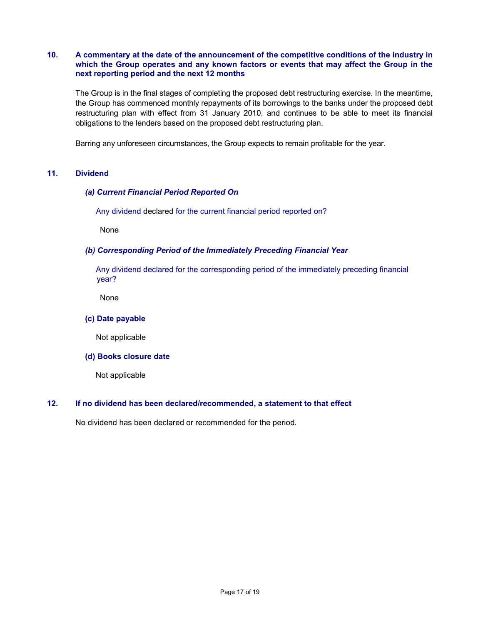## **10. A commentary at the date of the announcement of the competitive conditions of the industry in which the Group operates and any known factors or events that may affect the Group in the next reporting period and the next 12 months**

 The Group is in the final stages of completing the proposed debt restructuring exercise. In the meantime, the Group has commenced monthly repayments of its borrowings to the banks under the proposed debt restructuring plan with effect from 31 January 2010, and continues to be able to meet its financial obligations to the lenders based on the proposed debt restructuring plan.

Barring any unforeseen circumstances, the Group expects to remain profitable for the year.

## **11. Dividend**

## *(a) Current Financial Period Reported On*

Any dividend declared for the current financial period reported on?

None

### *(b) Corresponding Period of the Immediately Preceding Financial Year*

 Any dividend declared for the corresponding period of the immediately preceding financial year?

None

#### **(c) Date payable**

Not applicable

#### **(d) Books closure date**

Not applicable

### **12. If no dividend has been declared/recommended, a statement to that effect**

No dividend has been declared or recommended for the period.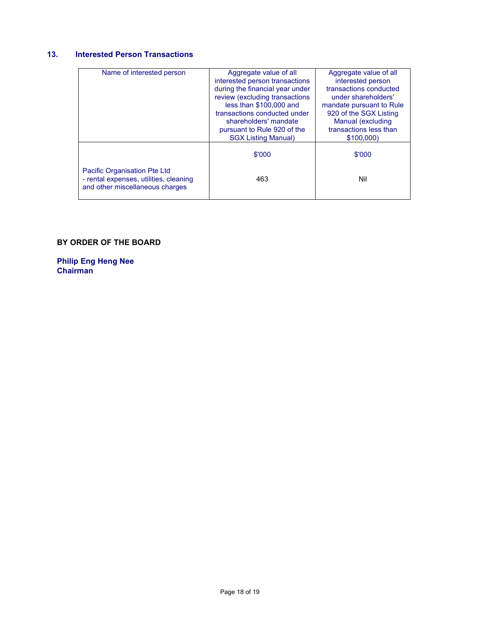# **13. Interested Person Transactions**

| Name of interested person              | Aggregate value of all          | Aggregate value of all   |
|----------------------------------------|---------------------------------|--------------------------|
|                                        | interested person transactions  | interested person        |
|                                        | during the financial year under | transactions conducted   |
|                                        | review (excluding transactions  | under shareholders'      |
|                                        | less than \$100,000 and         | mandate pursuant to Rule |
|                                        | transactions conducted under    | 920 of the SGX Listing   |
|                                        | shareholders' mandate           | Manual (excluding        |
|                                        | pursuant to Rule 920 of the     | transactions less than   |
|                                        | <b>SGX Listing Manual)</b>      | \$100,000)               |
|                                        |                                 |                          |
|                                        | \$'000                          | \$'000                   |
|                                        |                                 |                          |
| Pacific Organisation Pte Ltd           |                                 |                          |
| - rental expenses, utilities, cleaning | 463                             | Nil                      |
| and other miscellaneous charges        |                                 |                          |
|                                        |                                 |                          |

# **BY ORDER OF THE BOARD**

**Philip Eng Heng Nee Chairman**